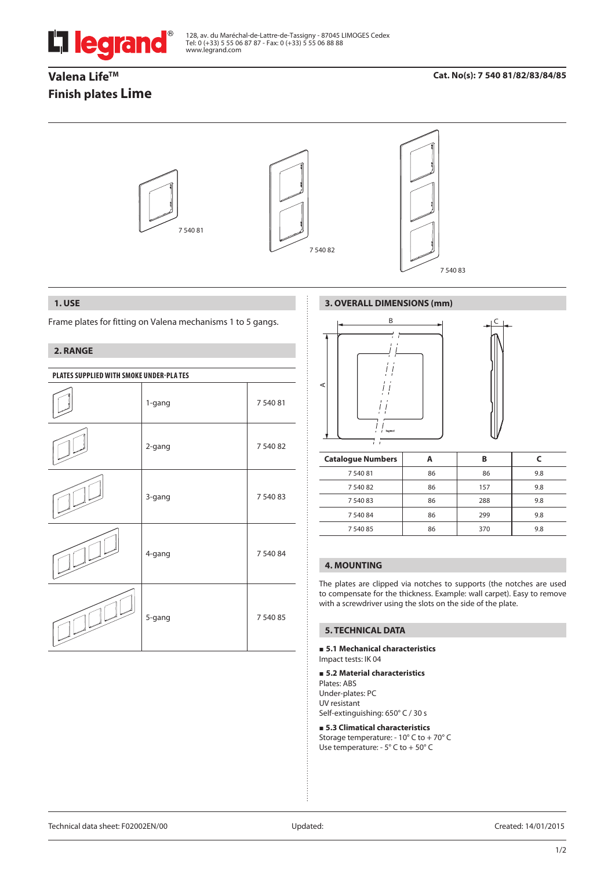

128, av. du Maréchal-de-Lattre-de-Tassigny - 87045 LIMOGES Cedex Tel: 0 (+33) 5 55 06 87 87 - Fax: 0 (+33) 5 55 06 88 88 www.legrand.com

# **Valena Life<sup>TM</sup> Finish plates Lime**

# **Cat. No(s): 7 540 81/82/83/84/85**



#### **1. USE**

Frame plates for fitting on Valena mechanisms 1 to 5 gangs.

# **2. RANGE**

| PLATES SUPPLIED WITH SMOKE UNDER-PLA TES |        |          |  |
|------------------------------------------|--------|----------|--|
|                                          | 1-gang | 7 540 81 |  |
|                                          | 2-gang | 7 540 82 |  |
|                                          | 3-gang | 7 540 83 |  |
|                                          | 4-gang | 7 540 84 |  |
|                                          | 5-gang | 7 540 85 |  |

# **3. OVERALL DIMENSIONS (mm)**



| <b>Catalogue Numbers</b> |    | В   |     |
|--------------------------|----|-----|-----|
| 7 540 81                 | 86 | 86  | 9.8 |
| 7 540 82                 | 86 | 157 | 9.8 |
| 7 540 83                 | 86 | 288 | 9.8 |
| 7 540 84                 | 86 | 299 | 9.8 |
| 7 540 85                 | 86 | 370 | 9.8 |

# **4. MOUNTING**

J.

The plates are clipped via notches to supports (the notches are used to compensate for the thickness. Example: wall carpet). Easy to remove with a screwdriver using the slots on the side of the plate.

# **5. TECHNICAL DATA**

**5.1 Mechanical characteristics**

Impact tests: IK 04

#### **5.2 Material characteristics**

Plates: ABS Under-plates: PC UV resistant Self-extinguishing: 650° C / 30 s

#### **5.3 Climatical characteristics**

Storage temperature: - 10° C to + 70° C Use temperature: - 5° C to + 50° C